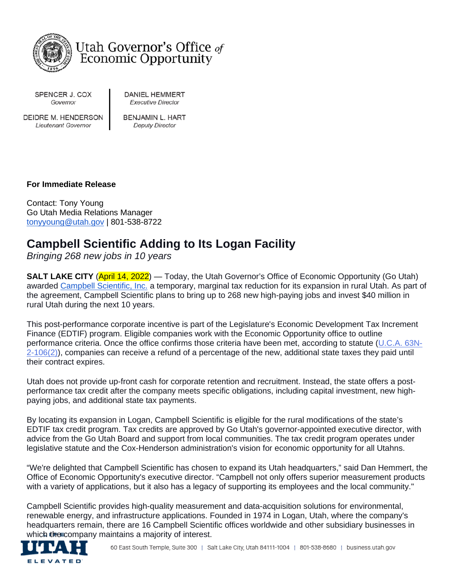

Utah Governor's Office of **Economic Opportunity** 

SPENCER J. COX Governor

**DANIEL HEMMERT Executive Director** 

DEIDRE M. HENDERSON Lieutenant Governor

**BENJAMIN L. HART Deputy Director** 

# **For Immediate Release**

Contact: Tony Young Go Utah Media Relations Manager [tonyyoung@utah.gov](mailto:tonyyoung@utah.gov) | 801-538-8722

# **Campbell Scientific Adding to Its Logan Facility**

*Bringing 268 new jobs in 10 years*

**SALT LAKE CITY** (April 14, 2022) — Today, the Utah Governor's Office of Economic Opportunity (Go Utah) awarded [Campbell Scientific, Inc.](https://www.campbellsci.com/) a temporary, marginal tax reduction for its expansion in rural Utah. As part of the agreement, Campbell Scientific plans to bring up to 268 new high-paying jobs and invest \$40 million in rural Utah during the next 10 years.

This post-performance corporate incentive is part of the Legislature's Economic Development Tax Increment Finance (EDTIF) program. Eligible companies work with the Economic Opportunity office to outline performance criteria. Once the office confirms those criteria have been met, according to statute [\(U.C.A. 63N-](https://le.utah.gov/xcode/Title63N/Chapter2/63N-2-S106.html?v=C63N-2-S106_2016071320160717)[2-106\(2\)\)](https://le.utah.gov/xcode/Title63N/Chapter2/63N-2-S106.html?v=C63N-2-S106_2016071320160717), companies can receive a refund of a percentage of the new, additional state taxes they paid until their contract expires.

Utah does not provide up-front cash for corporate retention and recruitment. Instead, the state offers a postperformance tax credit after the company meets specific obligations, including capital investment, new highpaying jobs, and additional state tax payments.

By locating its expansion in Logan, Campbell Scientific is eligible for the rural modifications of the state's EDTIF tax credit program. Tax credits are approved by Go Utah's governor-appointed executive director, with advice from the Go Utah Board and support from local communities. The tax credit program operates under legislative statute and the Cox-Henderson administration's vision for economic opportunity for all Utahns.

"We're delighted that Campbell Scientific has chosen to expand its Utah headquarters," said Dan Hemmert, the Office of Economic Opportunity's executive director. "Campbell not only offers superior measurement products with a variety of applications, but it also has a legacy of supporting its employees and the local community."

Campbell Scientific provides high-quality measurement and data-acquisition solutions for environmental, renewable energy, and infrastructure applications. Founded in 1974 in Logan, Utah, where the company's headquarters remain, there are 16 Campbell Scientific offices worldwide and other subsidiary businesses in which the company maintains a majority of interest.

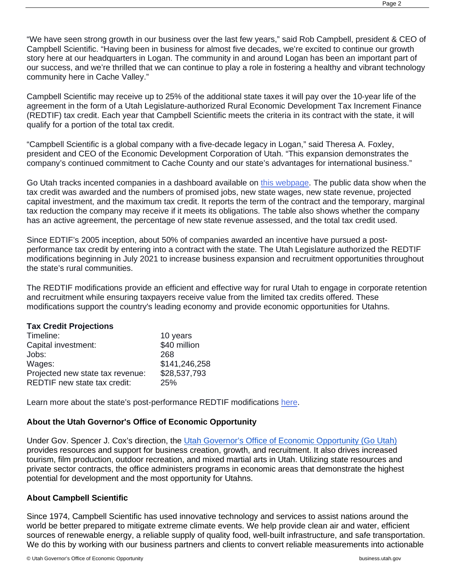"We have seen strong growth in our business over the last few years," said Rob Campbell, president & CEO of Campbell Scientific. "Having been in business for almost five decades, we're excited to continue our growth story here at our headquarters in Logan. The community in and around Logan has been an important part of our success, and we're thrilled that we can continue to play a role in fostering a healthy and vibrant technology community here in Cache Valley."

Campbell Scientific may receive up to 25% of the additional state taxes it will pay over the 10-year life of the agreement in the form of a Utah Legislature-authorized Rural Economic Development Tax Increment Finance (REDTIF) tax credit. Each year that Campbell Scientific meets the criteria in its contract with the state, it will qualify for a portion of the total tax credit.

"Campbell Scientific is a global company with a five-decade legacy in Logan," said Theresa A. Foxley, president and CEO of the Economic Development Corporation of Utah. "This expansion demonstrates the company's continued commitment to Cache County and our state's advantages for international business."

Go Utah tracks incented companies in a dashboard available on [this webpage.](https://business.utah.gov/incented-companies/) The public data show when the tax credit was awarded and the numbers of promised jobs, new state wages, new state revenue, projected capital investment, and the maximum tax credit. It reports the term of the contract and the temporary, marginal tax reduction the company may receive if it meets its obligations. The table also shows whether the company has an active agreement, the percentage of new state revenue assessed, and the total tax credit used.

Since EDTIF's 2005 inception, about 50% of companies awarded an incentive have pursued a postperformance tax credit by entering into a contract with the state. The Utah Legislature authorized the REDTIF modifications beginning in July 2021 to increase business expansion and recruitment opportunities throughout the state's rural communities.

The REDTIF modifications provide an efficient and effective way for rural Utah to engage in corporate retention and recruitment while ensuring taxpayers receive value from the limited tax credits offered. These modifications support the country's leading economy and provide economic opportunities for Utahns.

#### **Tax Credit Projections**

| Timeline:                        | 10 years      |
|----------------------------------|---------------|
| Capital investment:              | \$40 million  |
| Jobs:                            | 268           |
| Wages:                           | \$141,246,258 |
| Projected new state tax revenue: | \$28,537,793  |
| REDTIF new state tax credit:     | 25%           |

Learn more about the state's post-performance REDTIF modifications [here.](https://business.utah.gov/corporate-retention-recruitment/)

## **About the Utah Governor's Office of Economic Opportunity**

Under Gov. Spencer J. Cox's direction, the [Utah Governor's Office of Economic Opportunity \(Go Utah\)](https://business.utah.gov/) provides resources and support for business creation, growth, and recruitment. It also drives increased tourism, film production, outdoor recreation, and mixed martial arts in Utah. Utilizing state resources and private sector contracts, the office administers programs in economic areas that demonstrate the highest potential for development and the most opportunity for Utahns.

## **About Campbell Scientific**

Since 1974, Campbell Scientific has used innovative technology and services to assist nations around the world be better prepared to mitigate extreme climate events. We help provide clean air and water, efficient sources of renewable energy, a reliable supply of quality food, well-built infrastructure, and safe transportation. We do this by working with our business partners and clients to convert reliable measurements into actionable